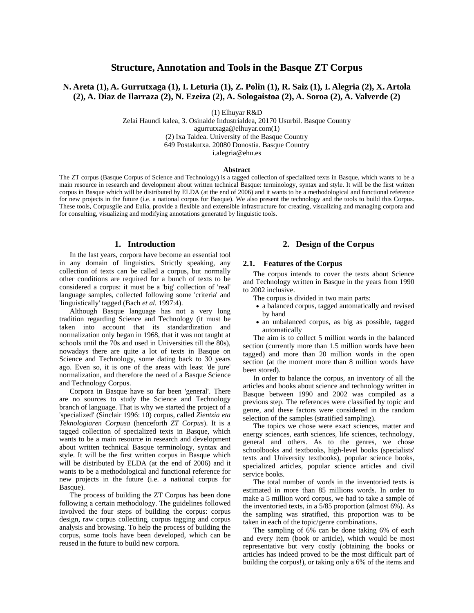# **Structure, Annotation and Tools in the Basque ZT Corpus**

## **N. Areta (1), A. Gurrutxaga (1), I. Leturia (1), Z. Polin (1), R. Saiz (1), I. Alegria (2), X. Artola (2), A. Diaz de Ilarraza (2), N. Ezeiza (2), A. Sologaistoa (2), A. Soroa (2), A. Valverde (2)**

(1) Elhuyar R&D

Zelai Haundi kalea, 3. Osinalde Industrialdea, 20170 Usurbil. Basque Country agurrutxaga@elhuyar.com(1) (2) Ixa Taldea. University of the Basque Country 649 Postakutxa. 20080 Donostia. Basque Country i.alegria@ehu.es

#### **Abstract**

The ZT corpus (Basque Corpus of Science and Technology) is a tagged collection of specialized texts in Basque, which wants to be a main resource in research and development about written technical Basque: terminology, syntax and style. It will be the first written corpus in Basque which will be distributed by ELDA (at the end of 2006) and it wants to be a methodological and functional reference for new projects in the future (i.e. a national corpus for Basque). We also present the technology and the tools to build this Corpus. These tools, Corpusgile and Eulia, provide a flexible and extensible infrastructure for creating, visualizing and managing corpora and for consulting, visualizing and modifying annotations generated by linguistic tools.

#### **1. Introduction**

In the last years, corpora have become an essential tool in any domain of linguistics. Strictly speaking, any collection of texts can be called a corpus, but normally other conditions are required for a bunch of texts to be considered a corpus: it must be a 'big' collection of 'real' language samples, collected following some 'criteria' and 'linguistically' tagged (Bach *et al.* 1997:4).

Although Basque language has not a very long tradition regarding Science and Technology (it must be taken into account that its standardization and normalization only began in 1968, that it was not taught at schools until the 70s and used in Universities till the 80s), nowadays there are quite a lot of texts in Basque on Science and Technology, some dating back to 30 years ago. Even so, it is one of the areas with least 'de jure' normalization, and therefore the need of a Basque Science and Technology Corpus.

Corpora in Basque have so far been 'general'. There are no sources to study the Science and Technology branch of language. That is why we started the project of a 'specialized' (Sinclair 1996: 10) corpus, called *Zientzia eta Teknologiaren Corpusa* (henceforth *ZT Corpus*). It is a tagged collection of specialized texts in Basque, which wants to be a main resource in research and development about written technical Basque terminology, syntax and style. It will be the first written corpus in Basque which will be distributed by ELDA (at the end of 2006) and it wants to be a methodological and functional reference for new projects in the future (i.e. a national corpus for Basque).

The process of building the ZT Corpus has been done following a certain methodology. The guidelines followed involved the four steps of building the corpus: corpus design, raw corpus collecting, corpus tagging and corpus analysis and browsing. To help the process of building the corpus, some tools have been developed, which can be reused in the future to build new corpora.

## **2. Design of the Corpus**

#### **2.1. Features of the Corpus**

The corpus intends to cover the texts about Science and Technology written in Basque in the years from 1990 to 2002 inclusive.

The corpus is divided in two main parts:

- a balanced corpus, tagged automatically and revised by hand
- an unbalanced corpus, as big as possible, tagged automatically

The aim is to collect 5 million words in the balanced section (currently more than 1.5 million words have been tagged) and more than 20 million words in the open section (at the moment more than 8 million words have been stored).

In order to balance the corpus, an inventory of all the articles and books about science and technology written in Basque between 1990 and 2002 was compiled as a previous step. The references were classified by topic and genre, and these factors were considered in the random selection of the samples (stratified sampling).

The topics we chose were exact sciences, matter and energy sciences, earth sciences, life sciences, technology, general and others. As to the genres, we chose schoolbooks and textbooks, high-level books (specialists' texts and University textbooks), popular science books, specialized articles, popular science articles and civil service books.

The total number of words in the inventoried texts is estimated in more than 85 millions words. In order to make a 5 million word corpus, we had to take a sample of the inventoried texts, in a 5/85 proportion (almost 6%). As the sampling was stratified, this proportion was to be taken in each of the topic/genre combinations.

The sampling of 6% can be done taking 6% of each and every item (book or article), which would be most representative but very costly (obtaining the books or articles has indeed proved to be the most difficult part of building the corpus!), or taking only a 6% of the items and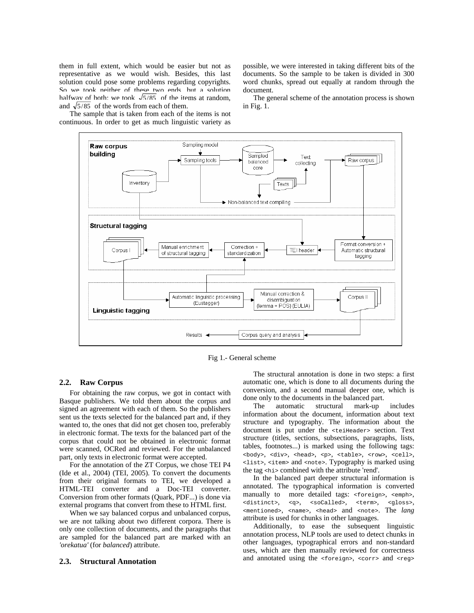them in full extent, which would be easier but not as representative as we would wish. Besides, this last solution could pose some problems regarding copyrights. So we took neither of these two ends, but a solution halfway of both: we took  $\sqrt{5/85}$  of the items at random, and  $\sqrt{5/85}$  of the words from each of them.

The sample that is taken from each of the items is not continuous. In order to get as much linguistic variety as possible, we were interested in taking different bits of the documents. So the sample to be taken is divided in 300 word chunks, spread out equally at random through the document.

The general scheme of the annotation process is shown in Fig. 1.



Fig 1.- General scheme

#### **2.2. Raw Corpus**

For obtaining the raw corpus, we got in contact with Basque publishers. We told them about the corpus and signed an agreement with each of them. So the publishers sent us the texts selected for the balanced part and, if they wanted to, the ones that did not get chosen too, preferably in electronic format. The texts for the balanced part of the corpus that could not be obtained in electronic format were scanned, OCRed and reviewed. For the unbalanced part, only texts in electronic format were accepted.

For the annotation of the ZT Corpus, we chose TEI P4 (Ide et al., 2004) (TEI, 2005). To convert the documents from their original formats to TEI, we developed a HTML-TEI converter and a Doc-TEI converter. Conversion from other formats (Quark, PDF...) is done via external programs that convert from these to HTML first.

When we say balanced corpus and unbalanced corpus, we are not talking about two different corpora. There is only one collection of documents, and the paragraphs that are sampled for the balanced part are marked with an *'orekatua'* (for *balanced*) attribute.

#### **2.3. Structural Annotation**

The structural annotation is done in two steps: a first automatic one, which is done to all documents during the conversion, and a second manual deeper one, which is done only to the documents in the balanced part.

The automatic structural mark-up includes information about the document, information about text structure and typography. The information about the document is put under the <teiHeader> section. Text structure (titles, sections, subsections, paragraphs, lists, tables, footnotes...) is marked using the following tags: <body>, <div>, <head>, <p>, <table>, <row>, <cell>, <list>, <item> and <note>. Typography is marked using the tag <hi> combined with the attribute 'rend'.

In the balanced part deeper structural information is annotated. The typographical information is converted manually to more detailed tags: <foreign>, <emph>, <distinct>, <q>, <soCalled>, <term>, <gloss>, <mentioned>, <name>, <head> and <note>. The *lang* attribute is used for chunks in other languages.

Additionally, to ease the subsequent linguistic annotation process, NLP tools are used to detect chunks in other languages, typographical errors and non-standard uses, which are then manually reviewed for correctness and annotated using the <foreign>, <corr> and <reg>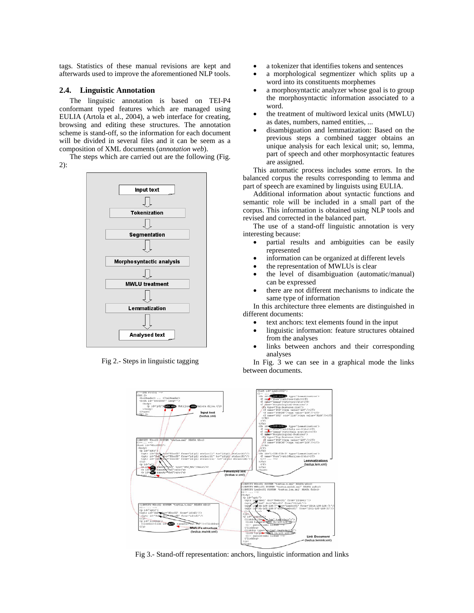tags. Statistics of these manual revisions are kept and afterwards used to improve the aforementioned NLP tools.

#### **2.4. Linguistic Annotation**

The linguistic annotation is based on TEI-P4 conformant typed features which are managed using EULIA (Artola et al., 2004), a web interface for creating, browsing and editing these structures. The annotation scheme is stand-off, so the information for each document will be divided in several files and it can be seem as a composition of XML documents (*annotation web*).

The steps which are carried out are the following (Fig. 2):



Fig 2.- Steps in linguistic tagging

- a tokenizer that identifies tokens and sentences
- a morphological segmentizer which splits up a word into its constituents morphemes
- a morphosyntactic analyzer whose goal is to group the morphosyntactic information associated to a word.
- the treatment of multiword lexical units (MWLU) as dates, numbers, named entities, ...
- disambiguation and lemmatization: Based on the previous steps a combined tagger obtains an unique analysis for each lexical unit; so, lemma, part of speech and other morphosyntactic features are assigned.

This automatic process includes some errors. In the balanced corpus the results corresponding to lemma and part of speech are examined by linguists using EULIA.

Additional information about syntactic functions and semantic role will be included in a small part of the corpus. This information is obtained using NLP tools and revised and corrected in the balanced part.

The use of a stand-off linguistic annotation is very interesting because:

- partial results and ambiguities can be easily represented
- information can be organized at different levels
- the representation of MWLUs is clear
- the level of disambiguation (automatic/manual) can be expressed
- there are not different mechanisms to indicate the same type of information

In this architecture three elements are distinguished in different documents:

- text anchors: text elements found in the input
- linguistic information: feature structures obtained from the analyses
- links between anchors and their corresponding analyses

In Fig. 3 we can see in a graphical mode the links between documents.



Fig 3.- Stand-off representation: anchors, linguistic information and links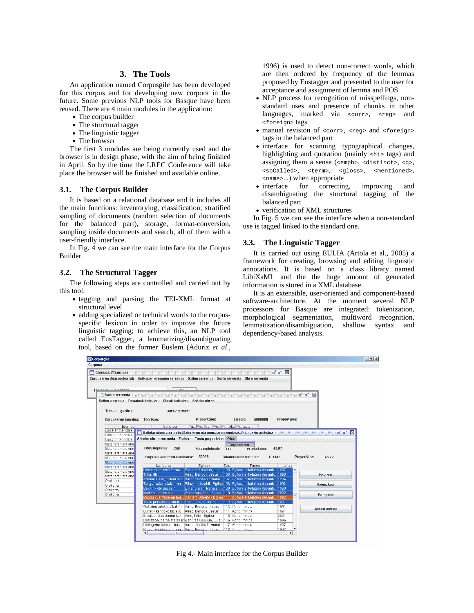## **3. The Tools**

An application named Corpusgile has been developed for this corpus and for developing new corpora in the future. Some previous NLP tools for Basque have been reused. There are 4 main modules in the application:

- The corpus builder
- The structural tagger
- The linguistic tagger
- The browser

The first 3 modules are being currently used and the browser is in design phase, with the aim of being finished in April. So by the time the LREC Conference will take place the browser will be finished and available online.

#### **3.1. The Corpus Builder**

It is based on a relational database and it includes all the main functions: inventorying, classification, stratified sampling of documents (random selection of documents for the balanced part), storage, format-conversion, sampling inside documents and search, all of them with a user-friendly interface.

In Fig. 4 we can see the main interface for the Corpus Builder.

### **3.2. The Structural Tagger**

The following steps are controlled and carried out by this tool:

- tagging and parsing the TEI-XML format at structural level
- adding specialized or technical words to the corpusspecific lexicon in order to improve the future linguistic tagging; to achieve this, an NLP tool called EusTagger, a lemmatizing/disambiguating tool, based on the former Euslem (Aduriz *et al*.,

1996) is used to detect non-correct words, which are then ordered by frequency of the lemmas proposed by Eustagger and presented to the user for acceptance and assignment of lemma and POS

- NLP process for recognition of misspellings, nonstandard uses and presence of chunks in other languages, marked via <corr>, <reg> and <foreign> tags
- manual revision of <corr>, <reg> and <foreign> tags in the balanced part
- interface for scanning typographical changes, highlighting and quotation (mainly <hi> tags) and assigning them a sense (<emph>, <distinct>, <q>, <soCalled>, <term>, <gloss>, <mentioned>, <name>...) when appropriate
- interface for correcting, improving and disambiguating the structural tagging of the balanced part
- verification of XML structures

In Fig. 5 we can see the interface when a non-standard use is tagged linked to the standard one.

#### **3.3. The Linguistic Tagger**

It is carried out using EULIA (Artola et al., 2005) a framework for creating, browsing and editing linguistic annotations. It is based on a class library named LibiXaML and the the huge amount of generated information is stored in a XML database.

It is an extensible, user-oriented and component-based software-architecture. At the moment several NLP processors for Basque are integrated: tokenization, morphological segmentation, multiword recognition, lemmatization/disambiguation, shallow syntax and dependency-based analysis.



Fig 4.- Main interface for the Corpus Builder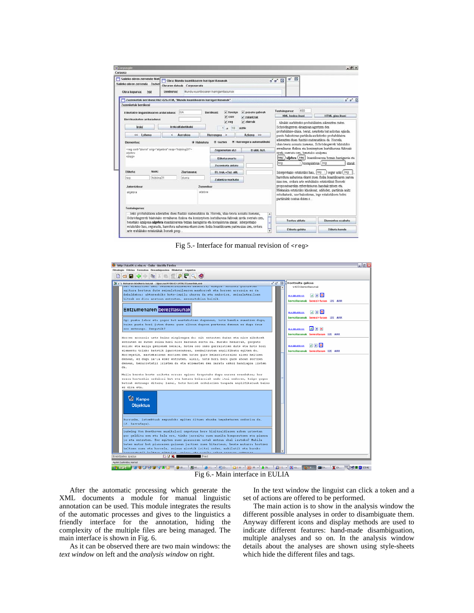| Corpusa                                                                                                                         |                                                                           |                                                                                                |                                                                                                                                                                                                                                                                                                                   |                                                                                                                                                                                                                                                            |                                                                                                                                                                           |  |
|---------------------------------------------------------------------------------------------------------------------------------|---------------------------------------------------------------------------|------------------------------------------------------------------------------------------------|-------------------------------------------------------------------------------------------------------------------------------------------------------------------------------------------------------------------------------------------------------------------------------------------------------------------|------------------------------------------------------------------------------------------------------------------------------------------------------------------------------------------------------------------------------------------------------------|---------------------------------------------------------------------------------------------------------------------------------------------------------------------------|--|
| Saileko obren zerrenda Zozkel<br>Obra kopurua:                                                                                  | Izenburua:<br>260                                                         | Obraren datuak Corpuseratu                                                                     | Mundu kuantikoaren harrigarritasunak                                                                                                                                                                                                                                                                              | $\alpha$ $\overline{\bowtie}$<br>$a^{\prime} a^{\prime}$ $\boxtimes$                                                                                                                                                                                       |                                                                                                                                                                           |  |
|                                                                                                                                 | Zuzenketak berrikusi: H62-B26.HTM, "Mundu kuantikoaren harrigarritasunak" |                                                                                                |                                                                                                                                                                                                                                                                                                                   |                                                                                                                                                                                                                                                            | $n' n'$ $\mathbb{R}$                                                                                                                                                      |  |
| Zuzenketak herrikusi                                                                                                            |                                                                           |                                                                                                |                                                                                                                                                                                                                                                                                                                   |                                                                                                                                                                                                                                                            |                                                                                                                                                                           |  |
| <b>DOA</b><br>Etiketatze linguistikoaren arduraduna:<br>Berrikusketen arduraduna:                                               |                                                                           |                                                                                                | $\nu$ foreign<br>v pasatu gabeak<br><b>Derrikusi:</b><br>$v$ corr<br>$\times$ zalantzak<br>$\nu$ ziurrak                                                                                                                                                                                                          | <b>Testuingurua:</b><br>XML kodea ikusi                                                                                                                                                                                                                    | 400<br><b>HTML</b> gisa ikusi                                                                                                                                             |  |
| <b>Irelci</b>                                                                                                                   |                                                                           | Ireki alfabetikoki                                                                             | $v$ reg<br>1a<br>$10 -$<br>(e)tik                                                                                                                                                                                                                                                                                 |                                                                                                                                                                                                                                                            | tikulak aurkitzeko probabilitatea adierazten zuten.<br>Schrödingerren ekuazioan agertzen den<br>probabilitate-uhina, beraz, neurketa bat askotan eginda,                  |  |
| << Lehena                                                                                                                       | $\epsilon$                                                                | Aurrekoa                                                                                       | Azkona >><br>Hurrengoa >                                                                                                                                                                                                                                                                                          |                                                                                                                                                                                                                                                            | puntu bakoitzean partikula aurkitzeko probabilitatea                                                                                                                      |  |
| <reg cert="ziurra" orig="algebra" resp="hizking21"><br/>aljetira<br/>«freg»<br/>Nork:<br/><b>Etiketa:</b><br/>Ziurtasuna:</reg> |                                                                           | Zegoenetan utzi<br>Frabil, hizt.<br>Etiketa onartu.<br>Zuzenketa aldatu<br>Et, truk,+Zuz, ald, | reg                                                                                                                                                                                                                                                                                                               | errealtasun fisikoa eta kontzeptuen hurbiltasuna faltsuak<br>zirela suertatu zen, benetako azalpena<br>reg / aljebra (reg   kuantikoarena bezain harrigarria eta<br>koraoilatsua (req<br>izanik.<br>Interpretazio estatistiko hau, reg-<br>segur aski (reg |                                                                                                                                                                           |  |
| reg                                                                                                                             | hizking21                                                                 | ziurra                                                                                         | Zalantza markatu                                                                                                                                                                                                                                                                                                  |                                                                                                                                                                                                                                                            | harridura nabariena ekarri zuen fisika kuantikoaren partea.<br>izan zen, ordura arte erabilitako estatistikak Bornek<br>proposatuarekin ezberdintasun handiak zituen eta. |  |
|                                                                                                                                 |                                                                           |                                                                                                | Zuzendua:                                                                                                                                                                                                                                                                                                         |                                                                                                                                                                                                                                                            |                                                                                                                                                                           |  |
| Jatorrizkoa:                                                                                                                    |                                                                           | aliebra<br>algebra                                                                             |                                                                                                                                                                                                                                                                                                                   |                                                                                                                                                                                                                                                            | Mekanika estatistiko klasikoak, adibidez, partikula anitz<br>estudiaturik, une bakoitzean, lege estatistikoen bidez<br>partikulek osatua duten s                          |  |
|                                                                                                                                 |                                                                           |                                                                                                |                                                                                                                                                                                                                                                                                                                   |                                                                                                                                                                                                                                                            |                                                                                                                                                                           |  |
| <b>Testuinourua:</b>                                                                                                            |                                                                           |                                                                                                |                                                                                                                                                                                                                                                                                                                   |                                                                                                                                                                                                                                                            |                                                                                                                                                                           |  |
|                                                                                                                                 |                                                                           |                                                                                                | zeko probabilitatea adierazten duen funtzio matematikoa da. Horrela, uhin-teoria asmatu zuenean,<br>Schrödingerrek bilatutako errealtasun fisikoa eta kontzeptuen hurbiltasuna faltsuak zirela suertatu zen,<br>benetako azaloena algebra kuantikoarena bezain harrigarria eta korapilotsua izanik. Interpretazio | $\blacksquare$<br>Testua aldatu                                                                                                                                                                                                                            | Elementua ezabatu.                                                                                                                                                        |  |

Fig 5.- Interface for manual revision of <reg>



After the automatic processing which generate the XML documents a module for manual linguistic annotation can be used. This module integrates the results of the automatic processes and gives to the linguistics a friendly interface for the annotation, hiding the complexity of the multiple files are being managed. The main interface is shown in Fig. 6.

As it can be observed there are two main windows: the *text window* on left and the *analysis window* on right.

In the text window the linguist can click a token and a set of actions are offered to be performed.

The main action is to show in the analysis window the different possible analyses in order to disambiguate them. Anyway different icons and display methods are used to indicate different features: hand-made disambiguation, multiple analyses and so on. In the analysis window details about the analyses are shown using style-sheets which hide the different files and tags.